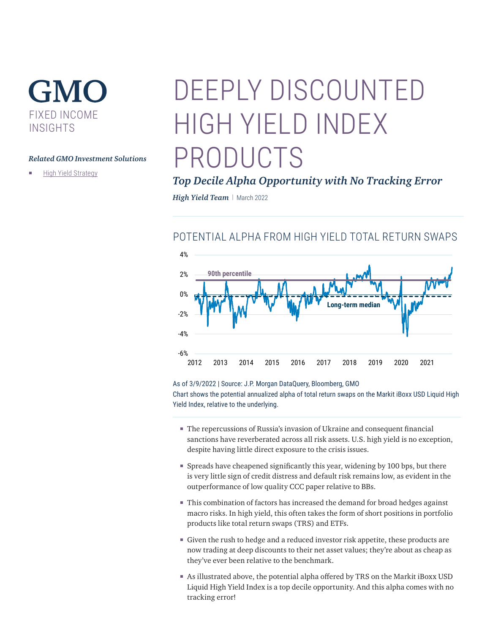## GMO FIXED INCOME INSIGHTS

#### *Related GMO Investment Solutions*

**[High Yield Strategy](https://www.gmo.com/americas/product-index-page/fixed-income/high-yield-strategy/)** 

# DEEPLY DISCOUNTED HIGH YIELD INDEX PRODUCTS

### *Top Decile Alpha Opportunity with No Tracking Error*

*High Yield Team* | March 2022

### POTENTIAL ALPHA FROM HIGH YIELD TOTAL RETURN SWAPS



As of 3/9/2022 | Source: J.P. Morgan DataQuery, Bloomberg, GMO

Chart shows the potential annualized alpha of total return swaps on the Markit iBoxx USD Liquid High Yield Index, relative to the underlying.

- The repercussions of Russia's invasion of Ukraine and consequent financial sanctions have reverberated across all risk assets. U.S. high yield is no exception, despite having little direct exposure to the crisis issues.
- Spreads have cheapened significantly this year, widening by 100 bps, but there is very little sign of credit distress and default risk remains low, as evident in the outperformance of low quality CCC paper relative to BBs.
- This combination of factors has increased the demand for broad hedges against macro risks. In high yield, this often takes the form of short positions in portfolio products like total return swaps (TRS) and ETFs.
- Given the rush to hedge and a reduced investor risk appetite, these products are now trading at deep discounts to their net asset values; they're about as cheap as they've ever been relative to the benchmark.
- As illustrated above, the potential alpha offered by TRS on the Markit iBoxx USD Liquid High Yield Index is a top decile opportunity. And this alpha comes with no tracking error!